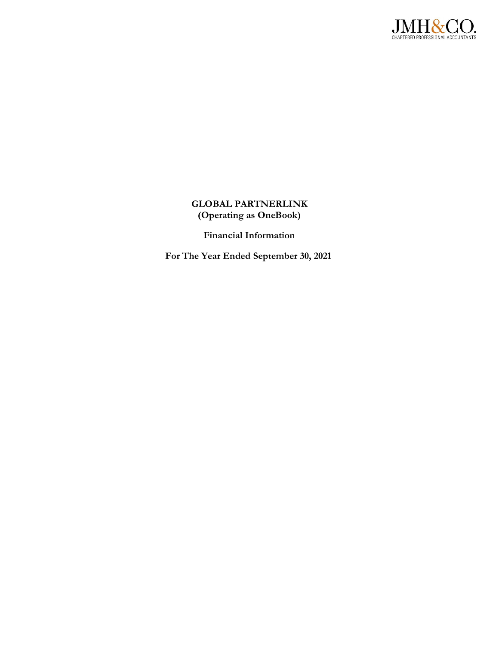

**Financial Information**

**For The Year Ended September 30, 2021**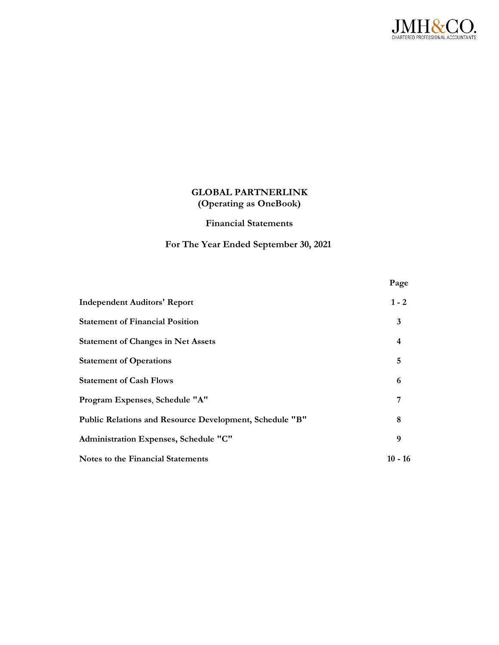

**Financial Statements**

# **For The Year Ended September 30, 2021**

|                                                         | Page      |
|---------------------------------------------------------|-----------|
| <b>Independent Auditors' Report</b>                     | $1 - 2$   |
| <b>Statement of Financial Position</b>                  | 3         |
| <b>Statement of Changes in Net Assets</b>               | 4         |
| <b>Statement of Operations</b>                          | 5         |
| <b>Statement of Cash Flows</b>                          | 6         |
| Program Expenses, Schedule "A"                          | 7         |
| Public Relations and Resource Development, Schedule "B" | 8         |
| Administration Expenses, Schedule "C"                   | 9         |
| Notes to the Financial Statements                       | $10 - 16$ |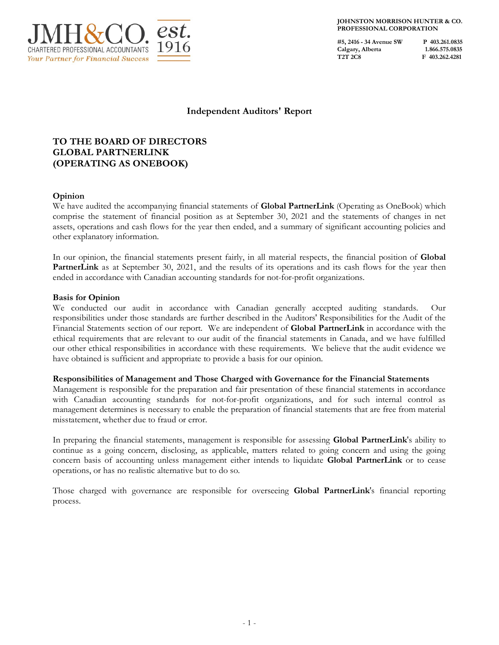

**JOHNSTON MORRISON HUNTER & CO. PROFESSIONAL CORPORATION**

**#5, 2416 - 34 Avenue SW P 403.261.0835 Calgary, Alberta 1.866.575.0835** T2T 2C8 **F** 403.262.4281

### **Independent Auditors' Report**

## **TO THE BOARD OF DIRECTORS GLOBAL PARTNERLINK (OPERATING AS ONEBOOK)**

#### **Opinion**

We have audited the accompanying financial statements of **Global PartnerLink** (Operating as OneBook) which comprise the statement of financial position as at September 30, 2021 and the statements of changes in net assets, operations and cash flows for the year then ended, and a summary of significant accounting policies and other explanatory information.

In our opinion, the financial statements present fairly, in all material respects, the financial position of **Global PartnerLink** as at September 30, 2021, and the results of its operations and its cash flows for the year then ended in accordance with Canadian accounting standards for not-for-profit organizations.

#### **Basis for Opinion**

We conducted our audit in accordance with Canadian generally accepted auditing standards. Our responsibilities under those standards are further described in the Auditors' Responsibilities for the Audit of the Financial Statements section of our report. We are independent of **Global PartnerLink** in accordance with the ethical requirements that are relevant to our audit of the financial statements in Canada, and we have fulfilled our other ethical responsibilities in accordance with these requirements. We believe that the audit evidence we have obtained is sufficient and appropriate to provide a basis for our opinion.

#### **Responsibilities of Management and Those Charged with Governance for the Financial Statements**

Management is responsible for the preparation and fair presentation of these financial statements in accordance with Canadian accounting standards for not-for-profit organizations, and for such internal control as management determines is necessary to enable the preparation of financial statements that are free from material misstatement, whether due to fraud or error.

In preparing the financial statements, management is responsible for assessing **Global PartnerLink**'s ability to continue as a going concern, disclosing, as applicable, matters related to going concern and using the going concern basis of accounting unless management either intends to liquidate **Global PartnerLink** or to cease operations, or has no realistic alternative but to do so.

Those charged with governance are responsible for overseeing **Global PartnerLink**'s financial reporting process.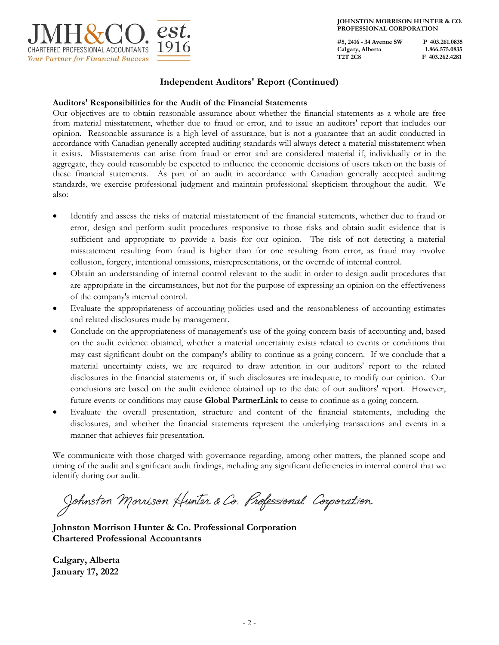

**#5, 2416 - 34 Avenue SW P 403.261.0835 Calgary, Alberta 1.866.575.0835** T2T 2C8 F 403.262.4281

## **Independent Auditors' Report (Continued)**

## **Auditors' Responsibilities for the Audit of the Financial Statements**

Our objectives are to obtain reasonable assurance about whether the financial statements as a whole are free from material misstatement, whether due to fraud or error, and to issue an auditors' report that includes our opinion. Reasonable assurance is a high level of assurance, but is not a guarantee that an audit conducted in accordance with Canadian generally accepted auditing standards will always detect a material misstatement when it exists. Misstatements can arise from fraud or error and are considered material if, individually or in the aggregate, they could reasonably be expected to influence the economic decisions of users taken on the basis of these financial statements. As part of an audit in accordance with Canadian generally accepted auditing standards, we exercise professional judgment and maintain professional skepticism throughout the audit. We also:

- Identify and assess the risks of material misstatement of the financial statements, whether due to fraud or error, design and perform audit procedures responsive to those risks and obtain audit evidence that is sufficient and appropriate to provide a basis for our opinion. The risk of not detecting a material misstatement resulting from fraud is higher than for one resulting from error, as fraud may involve collusion, forgery, intentional omissions, misrepresentations, or the override of internal control.
- · Obtain an understanding of internal control relevant to the audit in order to design audit procedures that are appropriate in the circumstances, but not for the purpose of expressing an opinion on the effectiveness of the company's internal control.
- Evaluate the appropriateness of accounting policies used and the reasonableness of accounting estimates and related disclosures made by management.
- Conclude on the appropriateness of management's use of the going concern basis of accounting and, based on the audit evidence obtained, whether a material uncertainty exists related to events or conditions that may cast significant doubt on the company's ability to continue as a going concern. If we conclude that a material uncertainty exists, we are required to draw attention in our auditors' report to the related disclosures in the financial statements or, if such disclosures are inadequate, to modify our opinion. Our conclusions are based on the audit evidence obtained up to the date of our auditors' report. However, future events or conditions may cause **Global PartnerLink** to cease to continue as a going concern.
- · Evaluate the overall presentation, structure and content of the financial statements, including the disclosures, and whether the financial statements represent the underlying transactions and events in a manner that achieves fair presentation.

We communicate with those charged with governance regarding, among other matters, the planned scope and timing of the audit and significant audit findings, including any significant deficiencies in internal control that we identify during our audit.

Johnston Morrison Hunter & Co. Professional Corporation

**Johnston Morrison Hunter & Co. Professional Corporation Chartered Professional Accountants**

**Calgary, Alberta January 17, 2022**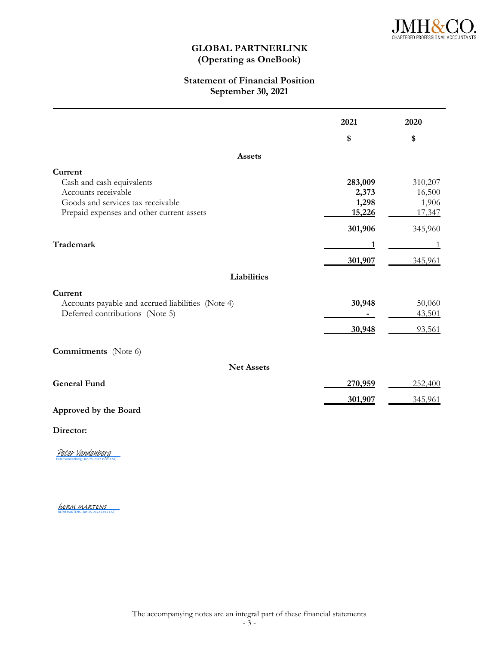

## **Statement of Financial Position September 30, 2021**

|                                                   |                   | 2021    | 2020    |
|---------------------------------------------------|-------------------|---------|---------|
|                                                   |                   | \$      | \$      |
|                                                   | <b>Assets</b>     |         |         |
| Current                                           |                   |         |         |
| Cash and cash equivalents                         |                   | 283,009 | 310,207 |
| Accounts receivable                               |                   | 2,373   | 16,500  |
| Goods and services tax receivable                 |                   | 1,298   | 1,906   |
| Prepaid expenses and other current assets         |                   | 15,226  | 17,347  |
|                                                   |                   | 301,906 | 345,960 |
| Trademark                                         |                   | 1       |         |
|                                                   |                   | 301,907 | 345,961 |
|                                                   | Liabilities       |         |         |
| Current                                           |                   |         |         |
| Accounts payable and accrued liabilities (Note 4) |                   | 30,948  | 50,060  |
| Deferred contributions (Note 5)                   |                   |         | 43,501  |
|                                                   |                   | 30,948  | 93,561  |
| <b>Commitments</b> (Note 6)                       |                   |         |         |
|                                                   | <b>Net Assets</b> |         |         |
| <b>General Fund</b>                               |                   | 270,959 | 252,400 |
|                                                   |                   | 301,907 | 345,961 |
| Approved by the Board                             |                   |         |         |
| $\mathbf{r}$ .                                    |                   |         |         |

**Director:**

Peter Vandenberg (Jan 25, 2022 15:26 CST) [Peter Vandenberg](https://secure.na2.adobesign.com/verifier?tx=CBJCHBCAABAAETz8aZm6IDXtlGSzBbyEI8cIKrWr0Vc5)

hERM MARTENS (Jan 25, 2022 13:12 CST) [hERM MARTENS](https://na2.documents.adobe.com/verifier?tx=CBJCHBCAABAAETz8aZm6IDXtlGSzBbyEI8cIKrWr0Vc5)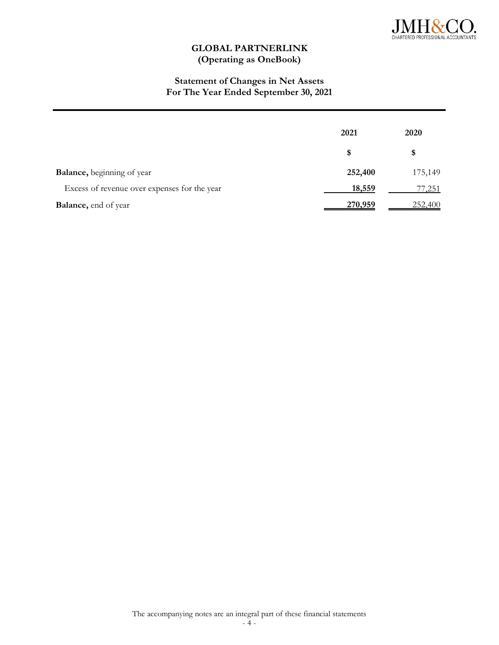

## **Statement of Changes in Net Assets For The Year Ended September 30, 2021**

|                                              | 2021    | 2020    |
|----------------------------------------------|---------|---------|
|                                              |         |         |
|                                              | \$      | \$      |
| <b>Balance,</b> beginning of year            | 252,400 | 175,149 |
| Excess of revenue over expenses for the year | 18,559  | 77,251  |
| <b>Balance, end of year</b>                  | 270,959 | 252,400 |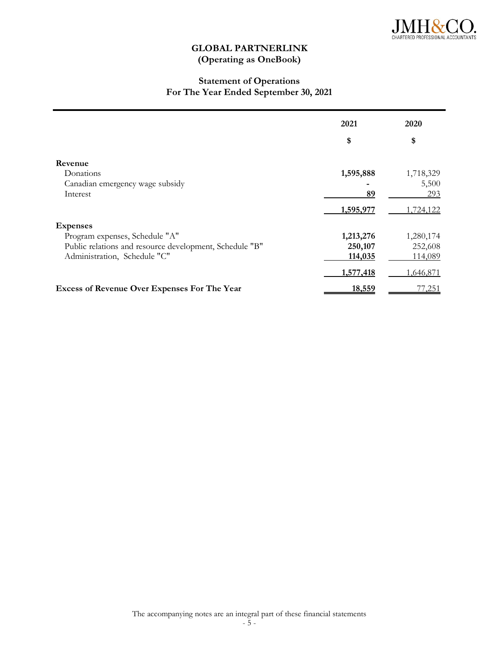

## **Statement of Operations For The Year Ended September 30, 2021**

|                                                         | 2021      | 2020      |
|---------------------------------------------------------|-----------|-----------|
|                                                         | \$        | \$        |
| Revenue                                                 |           |           |
| Donations                                               | 1,595,888 | 1,718,329 |
| Canadian emergency wage subsidy                         |           | 5,500     |
| Interest                                                | 89        | 293       |
|                                                         | 1,595,977 | 1,724,122 |
| <b>Expenses</b>                                         |           |           |
| Program expenses, Schedule "A"                          | 1,213,276 | 1,280,174 |
| Public relations and resource development, Schedule "B" | 250,107   | 252,608   |
| Administration, Schedule "C"                            | 114,035   | 114,089   |
|                                                         | 1,577,418 | 1,646,871 |
| <b>Excess of Revenue Over Expenses For The Year</b>     | 18,559    | 77,251    |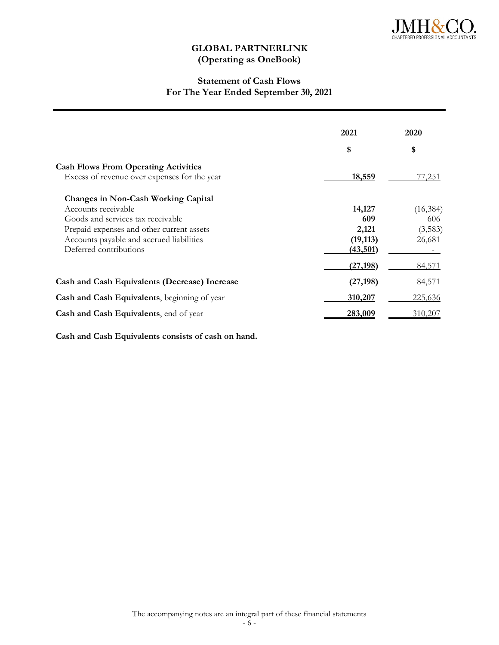

## **Statement of Cash Flows For The Year Ended September 30, 2021**

|                                                      | 2021            | 2020           |
|------------------------------------------------------|-----------------|----------------|
|                                                      | \$              | \$             |
| <b>Cash Flows From Operating Activities</b>          |                 |                |
| Excess of revenue over expenses for the year         | 18,559          | 77,251         |
| <b>Changes in Non-Cash Working Capital</b>           |                 |                |
| Accounts receivable                                  | 14,127          | (16, 384)      |
| Goods and services tax receivable                    | 609             | 606            |
| Prepaid expenses and other current assets            | 2,121           | (3,583)        |
| Accounts payable and accrued liabilities             | (19, 113)       | 26,681         |
| Deferred contributions                               | <u>(43,501)</u> |                |
|                                                      | (27, 198)       | 84,571         |
| <b>Cash and Cash Equivalents (Decrease) Increase</b> | (27, 198)       | 84,571         |
| Cash and Cash Equivalents, beginning of year         | 310,207         | <u>225,636</u> |
| Cash and Cash Equivalents, end of year               | 283,009         | 310,207        |

**Cash and Cash Equivalents consists of cash on hand.**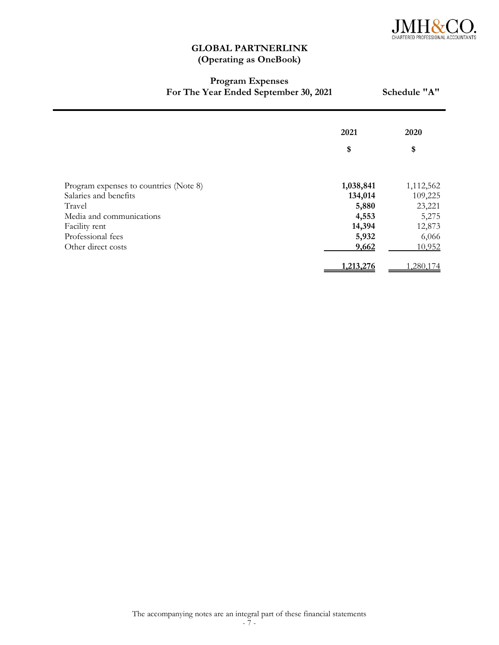

| <b>Program Expenses</b><br>For The Year Ended September 30, 2021 |                           | Schedule "A"               |
|------------------------------------------------------------------|---------------------------|----------------------------|
|                                                                  | 2021                      | 2020                       |
|                                                                  | \$                        | \$                         |
| Program expenses to countries (Note 8)                           | 1,038,841                 | 1,112,562                  |
| Salaries and benefits<br>Travel<br>Media and communications      | 134,014<br>5,880<br>4,553 | 109,225<br>23,221<br>5,275 |
| Facility rent<br>Professional fees                               | 14,394<br>5,932           | 12,873<br>6,066            |
| Other direct costs                                               | 9,662<br><u>1,213,276</u> | 10,952<br>,280,174         |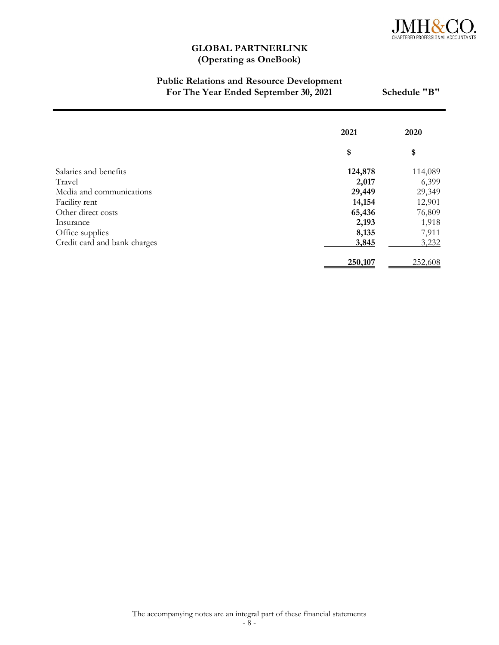

**250,107** 252,608

## **GLOBAL PARTNERLINK (Operating as OneBook)**

| <b>Public Relations and Resource Development</b><br>For The Year Ended September 30, 2021 |         | Schedule "B" |
|-------------------------------------------------------------------------------------------|---------|--------------|
|                                                                                           | 2021    | 2020         |
|                                                                                           | \$      | \$           |
| Salaries and benefits                                                                     | 124,878 | 114,089      |
| Travel                                                                                    | 2,017   | 6,399        |
| Media and communications                                                                  | 29,449  | 29,349       |
| Facility rent                                                                             | 14,154  | 12,901       |
| Other direct costs                                                                        | 65,436  | 76,809       |
| Insurance                                                                                 | 2,193   | 1,918        |

Office supplies **8,135** 7,911<br>Credit card and bank charges **8,135** 7,911

Credit card and bank charges **3,845**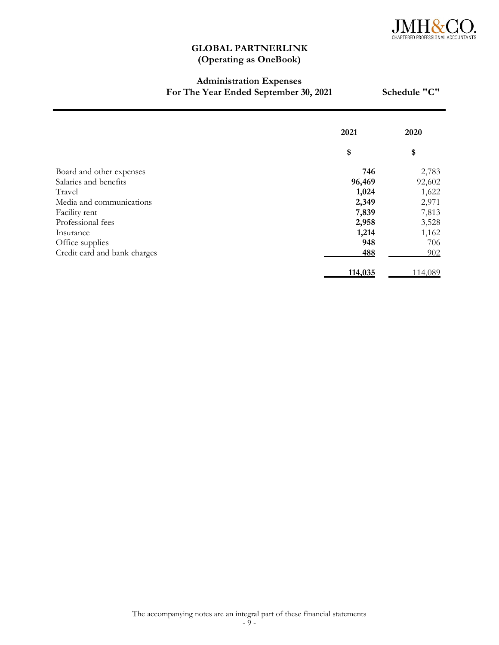

## **Administration Expenses For The Year Ended September 30, 2021 Schedule "C"**

|                              | 2021    | 2020    |
|------------------------------|---------|---------|
|                              | \$      | \$      |
| Board and other expenses     | 746     | 2,783   |
| Salaries and benefits        | 96,469  | 92,602  |
| Travel                       | 1,024   | 1,622   |
| Media and communications     | 2,349   | 2,971   |
| Facility rent                | 7,839   | 7,813   |
| Professional fees            | 2,958   | 3,528   |
| Insurance                    | 1,214   | 1,162   |
| Office supplies              | 948     | 706     |
| Credit card and bank charges | 488     | 902     |
|                              | 114,035 | 114,089 |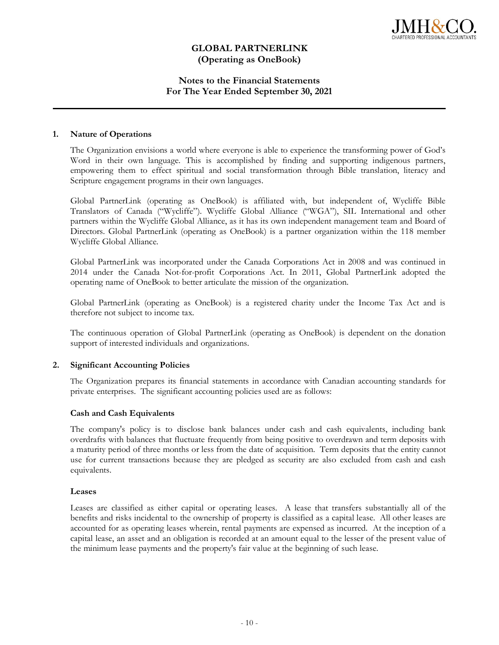

## **Notes to the Financial Statements For The Year Ended September 30, 2021**

#### **1. Nature of Operations**

The Organization envisions a world where everyone is able to experience the transforming power of God's Word in their own language. This is accomplished by finding and supporting indigenous partners, empowering them to effect spiritual and social transformation through Bible translation, literacy and Scripture engagement programs in their own languages.

Global PartnerLink (operating as OneBook) is affiliated with, but independent of, Wycliffe Bible Translators of Canada ("Wycliffe"). Wycliffe Global Alliance ("WGA"), SIL International and other partners within the Wycliffe Global Alliance, as it has its own independent management team and Board of Directors. Global PartnerLink (operating as OneBook) is a partner organization within the 118 member Wycliffe Global Alliance.

Global PartnerLink was incorporated under the Canada Corporations Act in 2008 and was continued in 2014 under the Canada Not-for-profit Corporations Act. In 2011, Global PartnerLink adopted the operating name of OneBook to better articulate the mission of the organization.

Global PartnerLink (operating as OneBook) is a registered charity under the Income Tax Act and is therefore not subject to income tax.

The continuous operation of Global PartnerLink (operating as OneBook) is dependent on the donation support of interested individuals and organizations.

#### **2. Significant Accounting Policies**

The Organization prepares its financial statements in accordance with Canadian accounting standards for private enterprises. The significant accounting policies used are as follows:

#### **Cash and Cash Equivalents**

The company's policy is to disclose bank balances under cash and cash equivalents, including bank overdrafts with balances that fluctuate frequently from being positive to overdrawn and term deposits with a maturity period of three months or less from the date of acquisition. Term deposits that the entity cannot use for current transactions because they are pledged as security are also excluded from cash and cash equivalents.

#### **Leases**

Leases are classified as either capital or operating leases. A lease that transfers substantially all of the benefits and risks incidental to the ownership of property is classified as a capital lease. All other leases are accounted for as operating leases wherein, rental payments are expensed as incurred. At the inception of a capital lease, an asset and an obligation is recorded at an amount equal to the lesser of the present value of the minimum lease payments and the property's fair value at the beginning of such lease.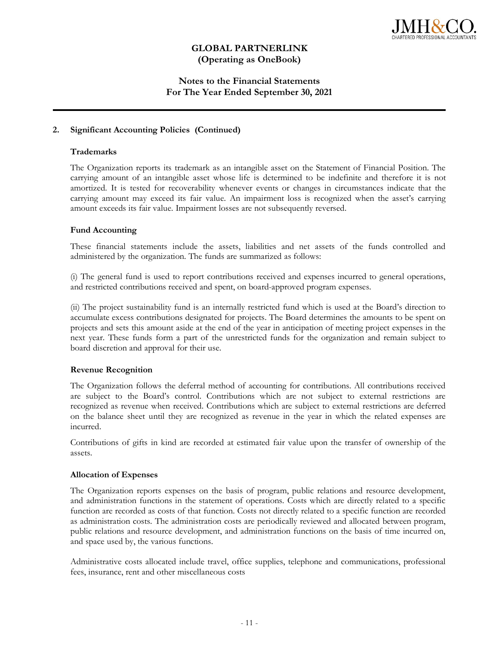

## **Notes to the Financial Statements For The Year Ended September 30, 2021**

### **2. Significant Accounting Policies (Continued)**

#### **Trademarks**

The Organization reports its trademark as an intangible asset on the Statement of Financial Position. The carrying amount of an intangible asset whose life is determined to be indefinite and therefore it is not amortized. It is tested for recoverability whenever events or changes in circumstances indicate that the carrying amount may exceed its fair value. An impairment loss is recognized when the asset's carrying amount exceeds its fair value. Impairment losses are not subsequently reversed.

#### **Fund Accounting**

These financial statements include the assets, liabilities and net assets of the funds controlled and administered by the organization. The funds are summarized as follows:

(i) The general fund is used to report contributions received and expenses incurred to general operations, and restricted contributions received and spent, on board-approved program expenses.

(ii) The project sustainability fund is an internally restricted fund which is used at the Board's direction to accumulate excess contributions designated for projects. The Board determines the amounts to be spent on projects and sets this amount aside at the end of the year in anticipation of meeting project expenses in the next year. These funds form a part of the unrestricted funds for the organization and remain subject to board discretion and approval for their use.

### **Revenue Recognition**

The Organization follows the deferral method of accounting for contributions. All contributions received are subject to the Board's control. Contributions which are not subject to external restrictions are recognized as revenue when received. Contributions which are subject to external restrictions are deferred on the balance sheet until they are recognized as revenue in the year in which the related expenses are incurred.

Contributions of gifts in kind are recorded at estimated fair value upon the transfer of ownership of the assets.

#### **Allocation of Expenses**

The Organization reports expenses on the basis of program, public relations and resource development, and administration functions in the statement of operations. Costs which are directly related to a specific function are recorded as costs of that function. Costs not directly related to a specific function are recorded as administration costs. The administration costs are periodically reviewed and allocated between program, public relations and resource development, and administration functions on the basis of time incurred on, and space used by, the various functions.

Administrative costs allocated include travel, office supplies, telephone and communications, professional fees, insurance, rent and other miscellaneous costs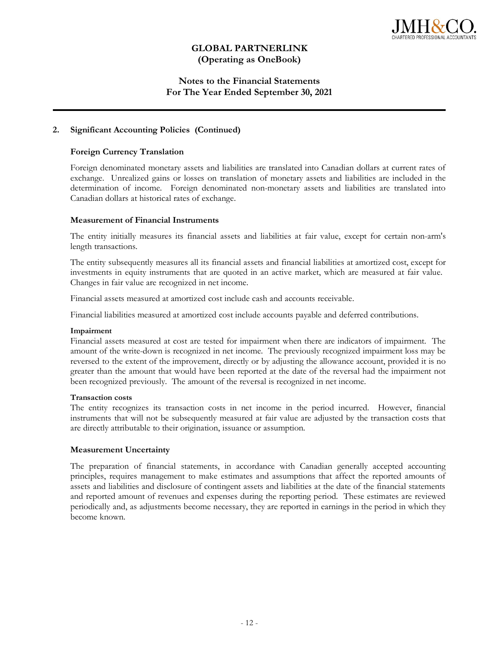

## **Notes to the Financial Statements For The Year Ended September 30, 2021**

### **2. Significant Accounting Policies (Continued)**

#### **Foreign Currency Translation**

Foreign denominated monetary assets and liabilities are translated into Canadian dollars at current rates of exchange. Unrealized gains or losses on translation of monetary assets and liabilities are included in the determination of income. Foreign denominated non-monetary assets and liabilities are translated into Canadian dollars at historical rates of exchange.

#### **Measurement of Financial Instruments**

The entity initially measures its financial assets and liabilities at fair value, except for certain non-arm's length transactions.

The entity subsequently measures all its financial assets and financial liabilities at amortized cost, except for investments in equity instruments that are quoted in an active market, which are measured at fair value. Changes in fair value are recognized in net income.

Financial assets measured at amortized cost include cash and accounts receivable.

Financial liabilities measured at amortized cost include accounts payable and deferred contributions.

#### **Impairment**

Financial assets measured at cost are tested for impairment when there are indicators of impairment. The amount of the write-down is recognized in net income. The previously recognized impairment loss may be reversed to the extent of the improvement, directly or by adjusting the allowance account, provided it is no greater than the amount that would have been reported at the date of the reversal had the impairment not been recognized previously. The amount of the reversal is recognized in net income.

#### **Transaction costs**

The entity recognizes its transaction costs in net income in the period incurred. However, financial instruments that will not be subsequently measured at fair value are adjusted by the transaction costs that are directly attributable to their origination, issuance or assumption.

#### **Measurement Uncertainty**

The preparation of financial statements, in accordance with Canadian generally accepted accounting principles, requires management to make estimates and assumptions that affect the reported amounts of assets and liabilities and disclosure of contingent assets and liabilities at the date of the financial statements and reported amount of revenues and expenses during the reporting period. These estimates are reviewed periodically and, as adjustments become necessary, they are reported in earnings in the period in which they become known.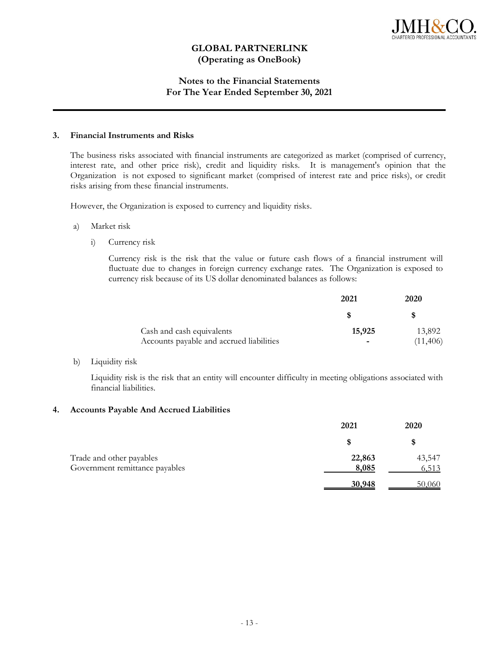

## **Notes to the Financial Statements For The Year Ended September 30, 2021**

#### **3. Financial Instruments and Risks**

The business risks associated with financial instruments are categorized as market (comprised of currency, interest rate, and other price risk), credit and liquidity risks. It is management's opinion that the Organization is not exposed to significant market (comprised of interest rate and price risks), or credit risks arising from these financial instruments.

However, the Organization is exposed to currency and liquidity risks.

- a) Market risk
	- i) Currency risk

Currency risk is the risk that the value or future cash flows of a financial instrument will fluctuate due to changes in foreign currency exchange rates. The Organization is exposed to currency risk because of its US dollar denominated balances as follows:

|                                          | 2021                     | 2020<br>S |
|------------------------------------------|--------------------------|-----------|
|                                          |                          |           |
| Cash and cash equivalents                | 15,925                   | 13.892    |
| Accounts payable and accrued liabilities | $\overline{\phantom{0}}$ | (11,406)  |

b) Liquidity risk

Liquidity risk is the risk that an entity will encounter difficulty in meeting obligations associated with financial liabilities.

#### **4. Accounts Payable And Accrued Liabilities**

|                                                            | 2021            | 2020            |
|------------------------------------------------------------|-----------------|-----------------|
|                                                            | S               |                 |
| Trade and other payables<br>Government remittance payables | 22,863<br>8,085 | 43,547<br>6,513 |
|                                                            | 30,948          | 50,060          |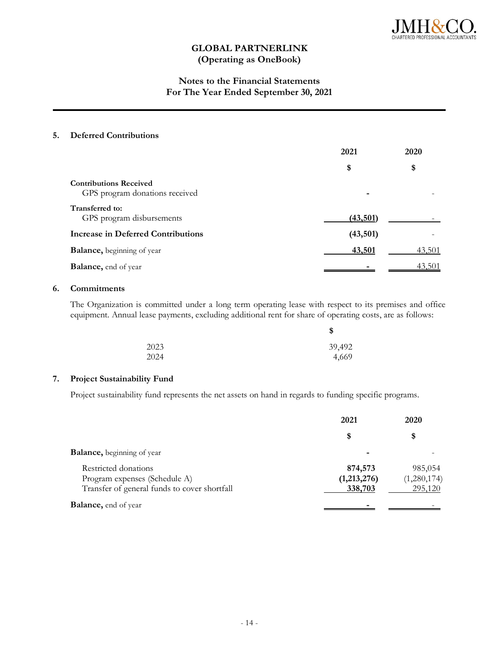

## **Notes to the Financial Statements For The Year Ended September 30, 2021**

### **5. Deferred Contributions**

|                                              | 2021     | 2020   |
|----------------------------------------------|----------|--------|
|                                              | \$       | \$     |
| <b>Contributions Received</b>                |          |        |
| GPS program donations received               |          |        |
| Transferred to:<br>GPS program disbursements | (43,501) |        |
| <b>Increase in Deferred Contributions</b>    | (43,501) |        |
| <b>Balance,</b> beginning of year            | 43,501   | 43,501 |
| <b>Balance, end of year</b>                  |          | 43,501 |

### **6. Commitments**

The Organization is committed under a long term operating lease with respect to its premises and office equipment. Annual lease payments, excluding additional rent for share of operating costs, are as follows:

|      | \$     |
|------|--------|
| 2023 | 39,492 |
| 2024 | 4,669  |

### **7. Project Sustainability Fund**

Project sustainability fund represents the net assets on hand in regards to funding specific programs.

|                                              | 2021        | 2020<br>\$  |
|----------------------------------------------|-------------|-------------|
|                                              | \$          |             |
| <b>Balance,</b> beginning of year            |             |             |
| Restricted donations                         | 874,573     | 985,054     |
| Program expenses (Schedule A)                | (1,213,276) | (1,280,174) |
| Transfer of general funds to cover shortfall | 338,703     | 295,120     |
| <b>Balance, end of year</b>                  |             |             |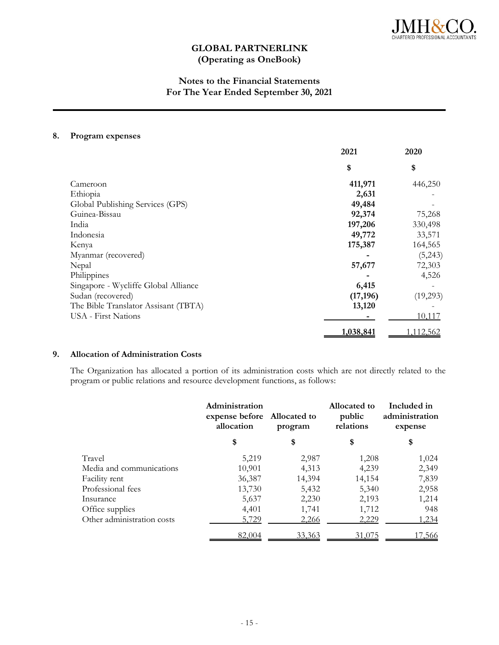

## **Notes to the Financial Statements For The Year Ended September 30, 2021**

#### **8. Program expenses**

|                                      | 2021      | 2020<br>\$ |
|--------------------------------------|-----------|------------|
|                                      | \$        |            |
| Cameroon                             | 411,971   | 446,250    |
| Ethiopia                             | 2,631     |            |
| Global Publishing Services (GPS)     | 49,484    |            |
| Guinea-Bissau                        | 92,374    | 75,268     |
| India                                | 197,206   | 330,498    |
| Indonesia                            | 49,772    | 33,571     |
| Kenya                                | 175,387   | 164,565    |
| Myanmar (recovered)                  |           | (5,243)    |
| Nepal                                | 57,677    | 72,303     |
| Philippines                          |           | 4,526      |
| Singapore - Wycliffe Global Alliance | 6,415     |            |
| Sudan (recovered)                    | (17, 196) | (19,293)   |
| The Bible Translator Assisant (TBTA) | 13,120    |            |
| <b>USA</b> - First Nations           |           | 10,117     |
|                                      | 1,038,841 | 1,112,562  |

#### **9. Allocation of Administration Costs**

The Organization has allocated a portion of its administration costs which are not directly related to the program or public relations and resource development functions, as follows:

|                            | Administration<br>expense before Allocated to<br>allocation<br>\$ | program<br>\$ | Allocated to<br>public<br>relations<br>\$ | Included in<br>administration<br>expense<br>\$ |
|----------------------------|-------------------------------------------------------------------|---------------|-------------------------------------------|------------------------------------------------|
|                            |                                                                   |               |                                           |                                                |
| Travel                     | 5,219                                                             | 2,987         | 1,208                                     | 1,024                                          |
| Media and communications   | 10,901                                                            | 4,313         | 4,239                                     | 2,349                                          |
| Facility rent              | 36,387                                                            | 14,394        | 14,154                                    | 7,839                                          |
| Professional fees          | 13,730                                                            | 5,432         | 5,340                                     | 2,958                                          |
| Insurance                  | 5,637                                                             | 2,230         | 2,193                                     | 1,214                                          |
| Office supplies            | 4,401                                                             | 1,741         | 1,712                                     | 948                                            |
| Other administration costs | 5,729                                                             | 2,266         | 2,229                                     | 1,234                                          |
|                            | 82,004                                                            | <u>33,363</u> | 31,075                                    | <u>17,566</u>                                  |